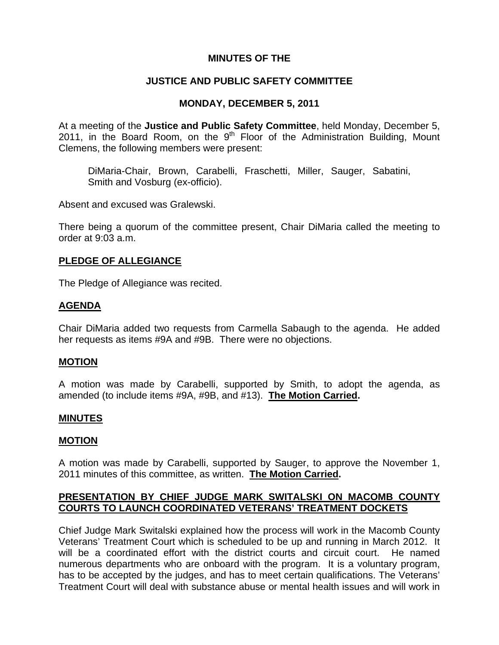## **MINUTES OF THE**

## **JUSTICE AND PUBLIC SAFETY COMMITTEE**

## **MONDAY, DECEMBER 5, 2011**

At a meeting of the **Justice and Public Safety Committee**, held Monday, December 5, 2011, in the Board Room, on the  $9<sup>th</sup>$  Floor of the Administration Building, Mount Clemens, the following members were present:

DiMaria-Chair, Brown, Carabelli, Fraschetti, Miller, Sauger, Sabatini, Smith and Vosburg (ex-officio).

Absent and excused was Gralewski.

There being a quorum of the committee present, Chair DiMaria called the meeting to order at 9:03 a.m.

### **PLEDGE OF ALLEGIANCE**

The Pledge of Allegiance was recited.

## **AGENDA**

Chair DiMaria added two requests from Carmella Sabaugh to the agenda. He added her requests as items #9A and #9B. There were no objections.

### **MOTION**

A motion was made by Carabelli, supported by Smith, to adopt the agenda, as amended (to include items #9A, #9B, and #13). **The Motion Carried.** 

### **MINUTES**

### **MOTION**

A motion was made by Carabelli, supported by Sauger, to approve the November 1, 2011 minutes of this committee, as written. **The Motion Carried.** 

## **PRESENTATION BY CHIEF JUDGE MARK SWITALSKI ON MACOMB COUNTY COURTS TO LAUNCH COORDINATED VETERANS' TREATMENT DOCKETS**

Chief Judge Mark Switalski explained how the process will work in the Macomb County Veterans' Treatment Court which is scheduled to be up and running in March 2012. It will be a coordinated effort with the district courts and circuit court. He named numerous departments who are onboard with the program. It is a voluntary program, has to be accepted by the judges, and has to meet certain qualifications. The Veterans' Treatment Court will deal with substance abuse or mental health issues and will work in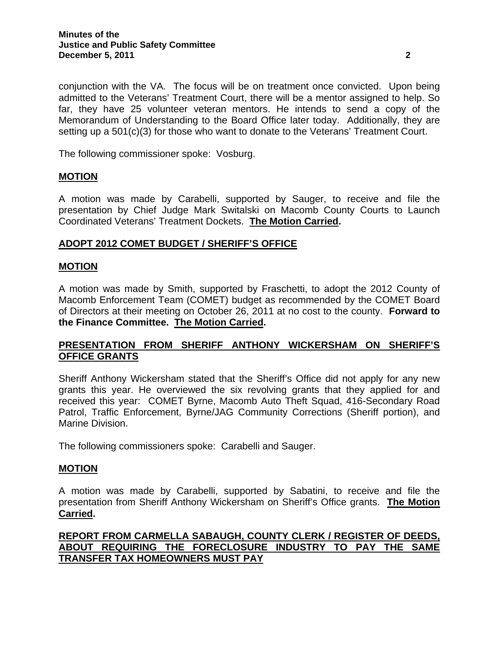conjunction with the VA. The focus will be on treatment once convicted. Upon being admitted to the Veterans' Treatment Court, there will be a mentor assigned to help. So far, they have 25 volunteer veteran mentors. He intends to send a copy of the Memorandum of Understanding to the Board Office later today. Additionally, they are setting up a 501(c)(3) for those who want to donate to the Veterans' Treatment Court.

The following commissioner spoke: Vosburg.

### **MOTION**

A motion was made by Carabelli, supported by Sauger, to receive and file the presentation by Chief Judge Mark Switalski on Macomb County Courts to Launch Coordinated Veterans' Treatment Dockets. **The Motion Carried.** 

### **ADOPT 2012 COMET BUDGET / SHERIFF'S OFFICE**

#### **MOTION**

A motion was made by Smith, supported by Fraschetti, to adopt the 2012 County of Macomb Enforcement Team (COMET) budget as recommended by the COMET Board of Directors at their meeting on October 26, 2011 at no cost to the county. **Forward to the Finance Committee. The Motion Carried.** 

# **PRESENTATION FROM SHERIFF ANTHONY WICKERSHAM ON SHERIFF'S OFFICE GRANTS**

Sheriff Anthony Wickersham stated that the Sheriff's Office did not apply for any new grants this year. He overviewed the six revolving grants that they applied for and received this year: COMET Byrne, Macomb Auto Theft Squad, 416-Secondary Road Patrol, Traffic Enforcement, Byrne/JAG Community Corrections (Sheriff portion), and Marine Division.

The following commissioners spoke: Carabelli and Sauger.

#### **MOTION**

A motion was made by Carabelli, supported by Sabatini, to receive and file the presentation from Sheriff Anthony Wickersham on Sheriff's Office grants. **The Motion Carried.** 

# **REPORT FROM CARMELLA SABAUGH, COUNTY CLERK / REGISTER OF DEEDS, ABOUT REQUIRING THE FORECLOSURE INDUSTRY TO PAY THE SAME TRANSFER TAX HOMEOWNERS MUST PAY**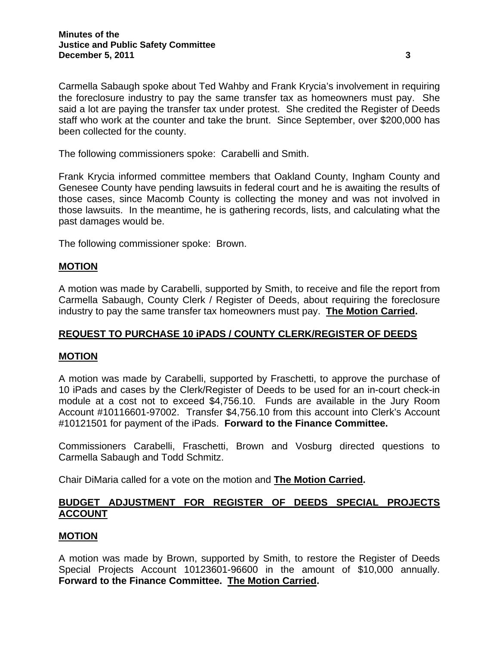Carmella Sabaugh spoke about Ted Wahby and Frank Krycia's involvement in requiring the foreclosure industry to pay the same transfer tax as homeowners must pay. She said a lot are paying the transfer tax under protest. She credited the Register of Deeds staff who work at the counter and take the brunt. Since September, over \$200,000 has been collected for the county.

The following commissioners spoke: Carabelli and Smith.

Frank Krycia informed committee members that Oakland County, Ingham County and Genesee County have pending lawsuits in federal court and he is awaiting the results of those cases, since Macomb County is collecting the money and was not involved in those lawsuits. In the meantime, he is gathering records, lists, and calculating what the past damages would be.

The following commissioner spoke: Brown.

#### **MOTION**

A motion was made by Carabelli, supported by Smith, to receive and file the report from Carmella Sabaugh, County Clerk / Register of Deeds, about requiring the foreclosure industry to pay the same transfer tax homeowners must pay. **The Motion Carried.** 

### **REQUEST TO PURCHASE 10 iPADS / COUNTY CLERK/REGISTER OF DEEDS**

### **MOTION**

A motion was made by Carabelli, supported by Fraschetti, to approve the purchase of 10 iPads and cases by the Clerk/Register of Deeds to be used for an in-court check-in module at a cost not to exceed \$4,756.10. Funds are available in the Jury Room Account #10116601-97002. Transfer \$4,756.10 from this account into Clerk's Account #10121501 for payment of the iPads. **Forward to the Finance Committee.** 

Commissioners Carabelli, Fraschetti, Brown and Vosburg directed questions to Carmella Sabaugh and Todd Schmitz.

Chair DiMaria called for a vote on the motion and **The Motion Carried.**

# **BUDGET ADJUSTMENT FOR REGISTER OF DEEDS SPECIAL PROJECTS ACCOUNT**

### **MOTION**

A motion was made by Brown, supported by Smith, to restore the Register of Deeds Special Projects Account 10123601-96600 in the amount of \$10,000 annually. **Forward to the Finance Committee. The Motion Carried.**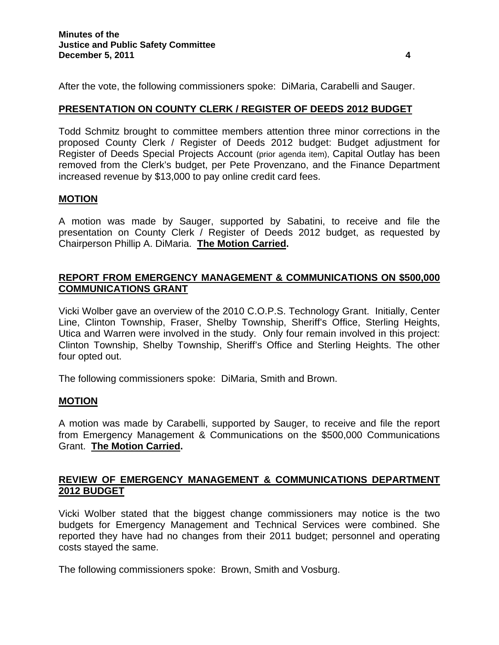After the vote, the following commissioners spoke: DiMaria, Carabelli and Sauger.

### **PRESENTATION ON COUNTY CLERK / REGISTER OF DEEDS 2012 BUDGET**

Todd Schmitz brought to committee members attention three minor corrections in the proposed County Clerk / Register of Deeds 2012 budget: Budget adjustment for Register of Deeds Special Projects Account (prior agenda item), Capital Outlay has been removed from the Clerk's budget, per Pete Provenzano, and the Finance Department increased revenue by \$13,000 to pay online credit card fees.

### **MOTION**

A motion was made by Sauger, supported by Sabatini, to receive and file the presentation on County Clerk / Register of Deeds 2012 budget, as requested by Chairperson Phillip A. DiMaria. **The Motion Carried.**

## **REPORT FROM EMERGENCY MANAGEMENT & COMMUNICATIONS ON \$500,000 COMMUNICATIONS GRANT**

Vicki Wolber gave an overview of the 2010 C.O.P.S. Technology Grant. Initially, Center Line, Clinton Township, Fraser, Shelby Township, Sheriff's Office, Sterling Heights, Utica and Warren were involved in the study. Only four remain involved in this project: Clinton Township, Shelby Township, Sheriff's Office and Sterling Heights. The other four opted out.

The following commissioners spoke: DiMaria, Smith and Brown.

### **MOTION**

A motion was made by Carabelli, supported by Sauger, to receive and file the report from Emergency Management & Communications on the \$500,000 Communications Grant. **The Motion Carried.**

## **REVIEW OF EMERGENCY MANAGEMENT & COMMUNICATIONS DEPARTMENT 2012 BUDGET**

Vicki Wolber stated that the biggest change commissioners may notice is the two budgets for Emergency Management and Technical Services were combined. She reported they have had no changes from their 2011 budget; personnel and operating costs stayed the same.

The following commissioners spoke: Brown, Smith and Vosburg.